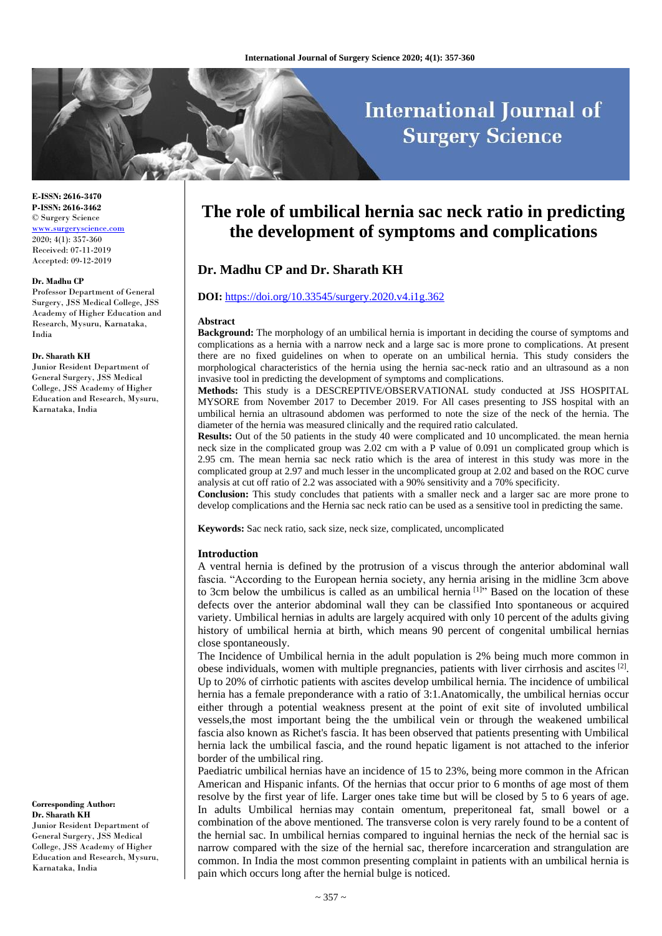# **International Journal of Surgery Science**

**E-ISSN: 2616-3470 P-ISSN: 2616-3462** © Surgery Science <www.surgeryscience.com> 2020; 4(1): 357-360 Received: 07-11-2019 Accepted: 09-12-2019

#### **Dr. Madhu CP**

Professor Department of General Surgery, JSS Medical College, JSS Academy of Higher Education and Research, Mysuru, Karnataka, India

#### **Dr. Sharath KH**

Junior Resident Department of General Surgery, JSS Medical College, JSS Academy of Higher Education and Research, Mysuru, Karnataka, India

**Corresponding Author: Dr. Sharath KH** Junior Resident Department of General Surgery, JSS Medical College, JSS Academy of Higher Education and Research, Mysuru, Karnataka, India

## **The role of umbilical hernia sac neck ratio in predicting the development of symptoms and complications**

## **Dr. Madhu CP and Dr. Sharath KH**

#### **DOI:** <https://doi.org/10.33545/surgery.2020.v4.i1g.362>

#### **Abstract**

**Background:** The morphology of an umbilical hernia is important in deciding the course of symptoms and complications as a hernia with a narrow neck and a large sac is more prone to complications. At present there are no fixed guidelines on when to operate on an umbilical hernia. This study considers the morphological characteristics of the hernia using the hernia sac-neck ratio and an ultrasound as a non invasive tool in predicting the development of symptoms and complications.

**Methods:** This study is a DESCREPTIVE/OBSERVATIONAL study conducted at JSS HOSPITAL MYSORE from November 2017 to December 2019. For All cases presenting to JSS hospital with an umbilical hernia an ultrasound abdomen was performed to note the size of the neck of the hernia. The diameter of the hernia was measured clinically and the required ratio calculated.

**Results:** Out of the 50 patients in the study 40 were complicated and 10 uncomplicated. the mean hernia neck size in the complicated group was 2.02 cm with a P value of 0.091 un complicated group which is 2.95 cm. The mean hernia sac neck ratio which is the area of interest in this study was more in the complicated group at 2.97 and much lesser in the uncomplicated group at 2.02 and based on the ROC curve analysis at cut off ratio of 2.2 was associated with a 90% sensitivity and a 70% specificity.

**Conclusion:** This study concludes that patients with a smaller neck and a larger sac are more prone to develop complications and the Hernia sac neck ratio can be used as a sensitive tool in predicting the same.

**Keywords:** Sac neck ratio, sack size, neck size, complicated, uncomplicated

#### **Introduction**

A ventral hernia is defined by the protrusion of a viscus through the anterior abdominal wall fascia. "According to the European hernia society, any hernia arising in the midline 3cm above to 3cm below the umbilicus is called as an umbilical hernia [1] " Based on the location of these defects over the anterior abdominal wall they can be classified Into spontaneous or acquired variety. Umbilical hernias in adults are largely acquired with only 10 percent of the adults giving history of umbilical hernia at birth, which means 90 percent of congenital umbilical hernias close spontaneously.

The Incidence of Umbilical hernia in the adult population is 2% being much more common in obese individuals, women with multiple pregnancies, patients with liver cirrhosis and ascites  $[2]$ . Up to 20% of cirrhotic patients with ascites develop umbilical hernia. The incidence of umbilical hernia has a female preponderance with a ratio of 3:1.Anatomically, the umbilical hernias occur either through a potential weakness present at the point of exit site of involuted umbilical vessels,the most important being the the umbilical vein or through the weakened umbilical fascia also known as Richet's fascia. It has been observed that patients presenting with Umbilical hernia lack the umbilical fascia, and the round hepatic ligament is not attached to the inferior border of the umbilical ring.

Paediatric umbilical hernias have an incidence of 15 to 23%, being more common in the African American and Hispanic infants. Of the hernias that occur prior to 6 months of age most of them resolve by the first year of life. Larger ones take time but will be closed by 5 to 6 years of age. In adults Umbilical hernias may contain omentum, preperitoneal fat, small bowel or a combination of the above mentioned. The transverse colon is very rarely found to be a content of the hernial sac. In umbilical hernias compared to inguinal hernias the neck of the hernial sac is narrow compared with the size of the hernial sac, therefore incarceration and strangulation are common. In India the most common presenting complaint in patients with an umbilical hernia is pain which occurs long after the hernial bulge is noticed.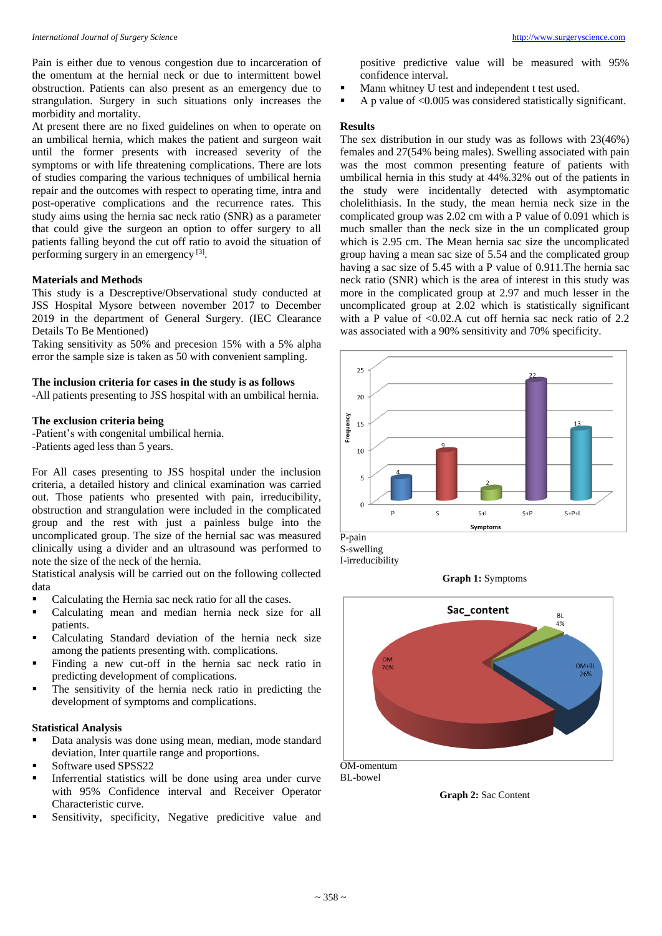Pain is either due to venous congestion due to incarceration of the omentum at the hernial neck or due to intermittent bowel obstruction. Patients can also present as an emergency due to strangulation. Surgery in such situations only increases the morbidity and mortality.

At present there are no fixed guidelines on when to operate on an umbilical hernia, which makes the patient and surgeon wait until the former presents with increased severity of the symptoms or with life threatening complications. There are lots of studies comparing the various techniques of umbilical hernia repair and the outcomes with respect to operating time, intra and post-operative complications and the recurrence rates. This study aims using the hernia sac neck ratio (SNR) as a parameter that could give the surgeon an option to offer surgery to all patients falling beyond the cut off ratio to avoid the situation of performing surgery in an emergency<sup>[3]</sup>.

#### **Materials and Methods**

This study is a Descreptive/Observational study conducted at JSS Hospital Mysore between november 2017 to December 2019 in the department of General Surgery. (IEC Clearance Details To Be Mentioned)

Taking sensitivity as 50% and precesion 15% with a 5% alpha error the sample size is taken as 50 with convenient sampling.

## **The inclusion criteria for cases in the study is as follows**

-All patients presenting to JSS hospital with an umbilical hernia.

#### **The exclusion criteria being**

-Patient's with congenital umbilical hernia. -Patients aged less than 5 years.

For All cases presenting to JSS hospital under the inclusion criteria, a detailed history and clinical examination was carried out. Those patients who presented with pain, irreducibility, obstruction and strangulation were included in the complicated group and the rest with just a painless bulge into the uncomplicated group. The size of the hernial sac was measured clinically using a divider and an ultrasound was performed to note the size of the neck of the hernia.

Statistical analysis will be carried out on the following collected data

- Calculating the Hernia sac neck ratio for all the cases.
- Calculating mean and median hernia neck size for all patients.
- Calculating Standard deviation of the hernia neck size among the patients presenting with. complications.
- Finding a new cut-off in the hernia sac neck ratio in predicting development of complications.
- The sensitivity of the hernia neck ratio in predicting the development of symptoms and complications.

## **Statistical Analysis**

- Data analysis was done using mean, median, mode standard deviation, Inter quartile range and proportions.
- Software used SPSS22
- Inferrential statistics will be done using area under curve with 95% Confidence interval and Receiver Operator Characteristic curve.
- Sensitivity, specificity, Negative predicitive value and

positive predictive value will be measured with 95% confidence interval.

- Mann whitney U test and independent t test used.
- A p value of <0.005 was considered statistically significant.

## **Results**

The sex distribution in our study was as follows with 23(46%) females and 27(54% being males). Swelling associated with pain was the most common presenting feature of patients with umbilical hernia in this study at 44%.32% out of the patients in the study were incidentally detected with asymptomatic cholelithiasis. In the study, the mean hernia neck size in the complicated group was 2.02 cm with a P value of 0.091 which is much smaller than the neck size in the un complicated group which is 2.95 cm. The Mean hernia sac size the uncomplicated group having a mean sac size of 5.54 and the complicated group having a sac size of 5.45 with a P value of 0.911.The hernia sac neck ratio (SNR) which is the area of interest in this study was more in the complicated group at 2.97 and much lesser in the uncomplicated group at 2.02 which is statistically significant with a P value of <0.02.A cut off hernia sac neck ratio of 2.2 was associated with a 90% sensitivity and 70% specificity.



S-swelling I-irreducibility

**Graph 1:** Symptoms



OM-omentum BL-bowel

**Graph 2:** Sac Content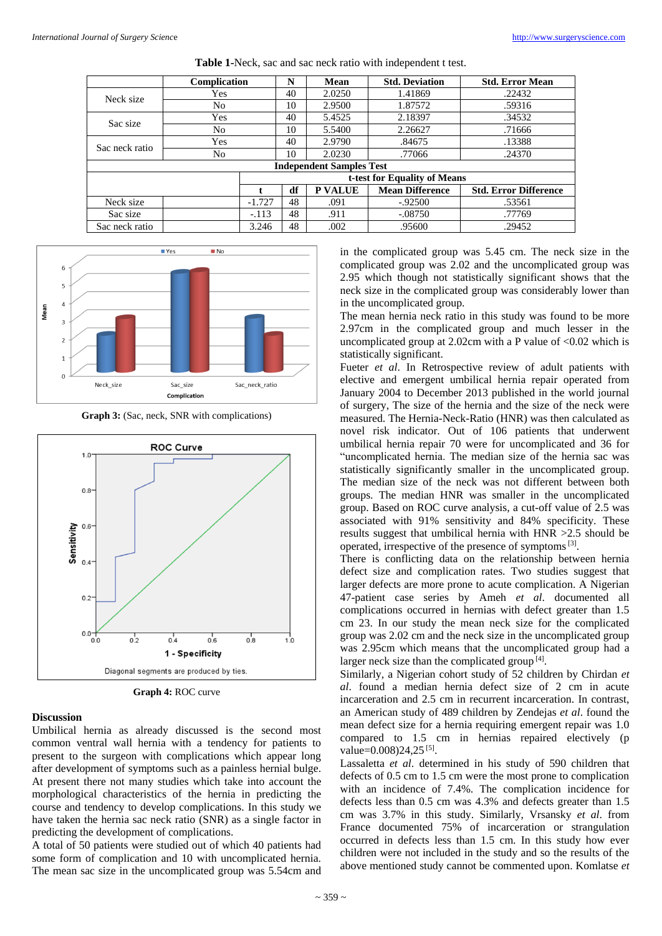|                                 | Complication                 |          | N  | <b>Mean</b>    | <b>Std. Deviation</b>  | <b>Std. Error Mean</b>       |
|---------------------------------|------------------------------|----------|----|----------------|------------------------|------------------------------|
| Neck size                       | Yes                          |          | 40 | 2.0250         | 1.41869                | .22432                       |
|                                 | No.                          |          | 10 | 2.9500         | 1.87572                | .59316                       |
| Sac size                        | Yes                          |          | 40 | 5.4525         | 2.18397                | .34532                       |
|                                 | No.                          |          | 10 | 5.5400         | 2.26627                | .71666                       |
| Sac neck ratio                  | Yes                          |          | 40 | 2.9790         | .84675                 | .13388                       |
|                                 | No.                          |          | 10 | 2.0230         | .77066                 | .24370                       |
| <b>Independent Samples Test</b> |                              |          |    |                |                        |                              |
|                                 | t-test for Equality of Means |          |    |                |                        |                              |
|                                 |                              | t.       | df | <b>P VALUE</b> | <b>Mean Difference</b> | <b>Std. Error Difference</b> |
| Neck size                       |                              | $-1.727$ | 48 | .091           | $-.92500$              | .53561                       |
| Sac size                        |                              | $-.113$  | 48 | .911           | $-.08750$              | .77769                       |
| Sac neck ratio                  |                              | 3.246    | 48 | .002           | .95600                 | .29452                       |





**Graph 3:** (Sac, neck, SNR with complications)



**Graph 4:** ROC curve

#### **Discussion**

Umbilical hernia as already discussed is the second most common ventral wall hernia with a tendency for patients to present to the surgeon with complications which appear long after development of symptoms such as a painless hernial bulge. At present there not many studies which take into account the morphological characteristics of the hernia in predicting the course and tendency to develop complications. In this study we have taken the hernia sac neck ratio (SNR) as a single factor in predicting the development of complications.

A total of 50 patients were studied out of which 40 patients had some form of complication and 10 with uncomplicated hernia. The mean sac size in the uncomplicated group was 5.54cm and

in the complicated group was 5.45 cm. The neck size in the complicated group was 2.02 and the uncomplicated group was 2.95 which though not statistically significant shows that the neck size in the complicated group was considerably lower than in the uncomplicated group.

The mean hernia neck ratio in this study was found to be more 2.97cm in the complicated group and much lesser in the uncomplicated group at 2.02cm with a P value of  $\langle 0.02 \rangle$  which is statistically significant.

Fueter *et al.* In Retrospective review of adult patients with elective and emergent umbilical hernia repair operated from January 2004 to December 2013 published in the world journal of surgery, The size of the hernia and the size of the neck were measured. The Hernia-Neck-Ratio (HNR) was then calculated as novel risk indicator. Out of 106 patients that underwent umbilical hernia repair 70 were for uncomplicated and 36 for "uncomplicated hernia. The median size of the hernia sac was statistically significantly smaller in the uncomplicated group. The median size of the neck was not different between both groups. The median HNR was smaller in the uncomplicated group. Based on ROC curve analysis, a cut-off value of 2.5 was associated with 91% sensitivity and 84% specificity. These results suggest that umbilical hernia with HNR >2.5 should be operated, irrespective of the presence of symptoms<sup>[3]</sup>.

There is conflicting data on the relationship between hernia defect size and complication rates. Two studies suggest that larger defects are more prone to acute complication. A Nigerian 47-patient case series by Ameh *et al*. documented all complications occurred in hernias with defect greater than 1.5 cm 23. In our study the mean neck size for the complicated group was 2.02 cm and the neck size in the uncomplicated group was 2.95cm which means that the uncomplicated group had a larger neck size than the complicated group<sup>[4]</sup>.

Similarly, a Nigerian cohort study of 52 children by Chirdan *et al*. found a median hernia defect size of 2 cm in acute incarceration and 2.5 cm in recurrent incarceration. In contrast, an American study of 489 children by Zendejas *et al*. found the mean defect size for a hernia requiring emergent repair was 1.0 compared to 1.5 cm in hernias repaired electively (p value=0.008)24,25<sup>[5]</sup>.

Lassaletta *et al*. determined in his study of 590 children that defects of 0.5 cm to 1.5 cm were the most prone to complication with an incidence of 7.4%. The complication incidence for defects less than 0.5 cm was 4.3% and defects greater than 1.5 cm was 3.7% in this study. Similarly, Vrsansky *et al*. from France documented 75% of incarceration or strangulation occurred in defects less than 1.5 cm. In this study how ever children were not included in the study and so the results of the above mentioned study cannot be commented upon. Komlatse *et*